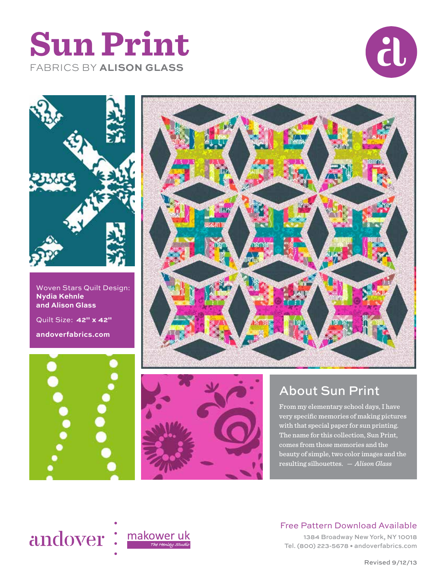





Woven Stars Quilt Design: **Nydia Kehnle and Alison Glass** Quilt Size: **42" x 42" andoverfabrics.com**







# About Sun Print

From my elementary school days, I have very specific memories of making pictures with that special paper for sun printing. The name for this collection, Sun Print, comes from those memories and the beauty of simple, two color images and the resulting silhouettes. *— Alison Glass*



## Free Pattern Download Available

1384 Broadway New York, NY 10018 Tel. (800) 223-5678 • andoverfabrics.com

Revised 9/12/13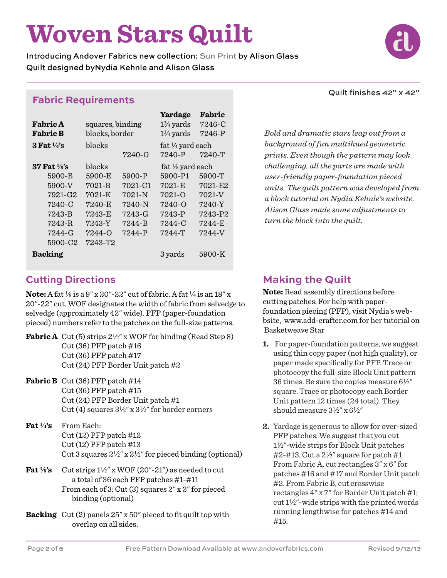# **Woven Stars Quilt**

Introducing Andover Fabrics new collection: Sun Print by Alison Glass Quilt designed byNydia Kehnle and Alison Glass

# **Fabric Requirements**

|                           |                  |            | Yardage              | Fabric   |
|---------------------------|------------------|------------|----------------------|----------|
| <b>Fabric A</b>           | squares, binding |            | $1\frac{3}{4}$ yards | 7246-C   |
| <b>Fabric B</b>           | blocks, border   |            | $1\frac{3}{4}$ yards | 7246-P   |
| $3$ Fat $\frac{1}{4}$ 's  | blocks           |            | fat 1/4 yard each    |          |
|                           |                  | 7240-G     | 7240-P               | $7240-T$ |
| $37$ Fat $\frac{1}{8}$ 's | blocks           |            | fat 1/8 yard each    |          |
| 5900-B                    | 5900-E           | 5900-P     | 5900-P1              | 5900-T   |
| 5900-V                    | 7021-B           | 7021-C1    | 7021-E               | 7021-E2  |
| 7921-G2                   | $7021 - K$       | $7021 - N$ | $7021 - 0$           | 7021-V   |
| 7240-C                    | 7240-E           | 7240-N     | $7240 - 0$           | 7240-Y   |
| 7243-B                    | 7243-E           | 7243-G     | 7243-P               | 7243-P2  |
| 7243-R                    | 7243-Y           | 7244-B     | 7244-C               | 7244-E   |
| 7244-G                    | 7244-0           | 7244-P     | $7244-T$             | 7244-V   |
| 5900-C2                   | 7243-T2          |            |                      |          |
| <b>Backing</b>            |                  |            | 3 yards              | 5900-K   |

#### Quilt finishes 42" x 42"

*Bold and dramatic stars leap out from a background of fun multihued geometric prints. Even though the pattern may look challenging, all the parts are made with user-friendly paper-foundation pieced units. The quilt pattern was developed from a block tutorial on Nydia Kehnle's website. Alison Glass made some adjustments to turn the block into the quilt.*

# **Cutting Directions**

**Note:** A fat  $\frac{1}{8}$  is a 9" x 20"-22" cut of fabric. A fat  $\frac{1}{4}$  is an 18" x 20"-22" cut. WOF designates the width of fabric from selvedge to selvedge (approximately 42" wide). PFP (paper-foundation pieced) numbers refer to the patches on the full-size patterns.

**Fabric A** Cut (5) strips  $2\frac{1}{2}$ " x WOF for binding (Read Step 8) Cut (36) PFP patch #16 Cut (36) PFP patch #17 Cut (24) PFP Border Unit patch #2

- **Fabric B** Cut (36) PFP patch #14 Cut (36) PFP patch #15 Cut (24) PFP Border Unit patch #1 Cut (4) squares  $3\frac{1}{2}$ " x  $3\frac{1}{2}$ " for border corners
- **Fat 4's** From Each: Cut (12) PFP patch #12 Cut (12) PFP patch #13 Cut 3 squares  $2\frac{1}{2}$ " x  $2\frac{1}{2}$ " for pieced binding (optional)
- **Fat**  $\frac{1}{8}$  Cut strips  $1\frac{1}{2}$  x WOF (20"-21") as needed to cut a total of 36 each PFP patches #1-#11 From each of 3: Cut (3) squares 2" x 2" for pieced binding (optional)
- **Backing** Cut (2) panels 25" x 50" pieced to fit quilt top with overlap on all sides.

# **Making the Quilt**

**Note:** Read assembly directions before cutting patches. For help with paperfoundation piecing (PFP), visit Nydia's webbsite, www.add-crafter.com for her tutorial on Basketweave Star

- **1.** For paper-foundation patterns, we suggest using thin copy paper (not high quality), or paper made specifically for PFP. Trace or photocopy the full-size Block Unit pattern 36 times. Be sure the copies measure  $6\frac{1}{2}$ " square. Trace or photocopy each Border Unit pattern 12 times (24 total). They should measure  $3\frac{1}{2}$ " x  $6\frac{1}{2}$ "
- **2.** Yardage is generous to allow for over-sized PFP patches. We suggest that you cut 12"-wide strips for Block Unit patches #2-#13. Cut a  $2\frac{1}{2}$ " square for patch #1. From Fabric A, cut rectangles 3" x 6" for patches #16 and #17 and Border Unit patch #2. From Fabric B, cut crosswise rectangles 4" x 7" for Border Unit patch #1; cut  $1\frac{1}{2}$ "-wide strips with the printed words running lengthwise for patches #14 and #15.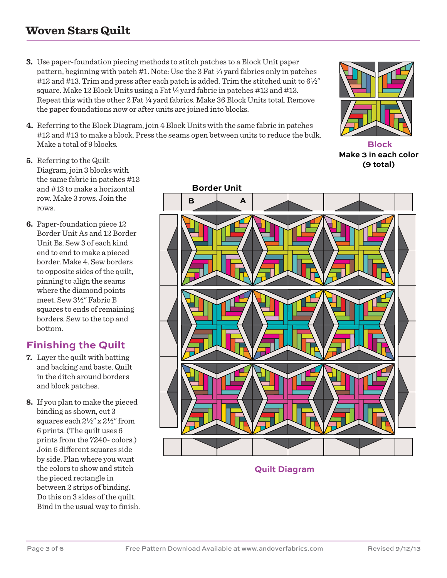# **Woven Stars Quilt**

- **3.** Use paper-foundation piecing methods to stitch patches to a Block Unit paper pattern, beginning with patch  $#1$ . Note: Use the 3 Fat  $\frac{1}{4}$  yard fabrics only in patches #12 and #13. Trim and press after each patch is added. Trim the stitched unit to  $6\frac{1}{2}$ " square. Make 12 Block Units using a Fat  $\frac{1}{4}$  yard fabric in patches #12 and #13. Repeat this with the other 2 Fat  $\frac{1}{4}$  yard fabrics. Make 36 Block Units total. Remove the paper foundations now or after units are joined into blocks.
- **4.** Referring to the Block Diagram, join 4 Block Units with the same fabric in patches #12 and #13 to make a block. Press the seams open between units to reduce the bulk. Make a total of 9 blocks.



**Block Make 3 in each color (9 total)**

**Border Unit B A**

**Quilt Diagram**

- **5.** Referring to the Quilt Diagram, join 3 blocks with the same fabric in patches #12 and #13 to make a horizontal row. Make 3 rows. Join the rows.
- **6.** Paper-foundation piece 12 Border Unit As and 12 Border Unit Bs. Sew 3 of each kind end to end to make a pieced border. Make 4. Sew borders to opposite sides of the quilt, pinning to align the seams where the diamond points meet. Sew 3½" Fabric B squares to ends of remaining borders. Sew to the top and bottom.

# **Finishing the Quilt**

- **7.** Layer the quilt with batting and backing and baste. Quilt in the ditch around borders and block patches.
- **8.** If you plan to make the pieced binding as shown, cut 3 squares each  $2\frac{1}{2}$ " x  $2\frac{1}{2}$ " from 6 prints. (The quilt uses 6 prints from the 7240- colors.) Join 6 different squares side by side. Plan where you want the colors to show and stitch the pieced rectangle in between 2 strips of binding. Do this on 3 sides of the quilt. Bind in the usual way to finish.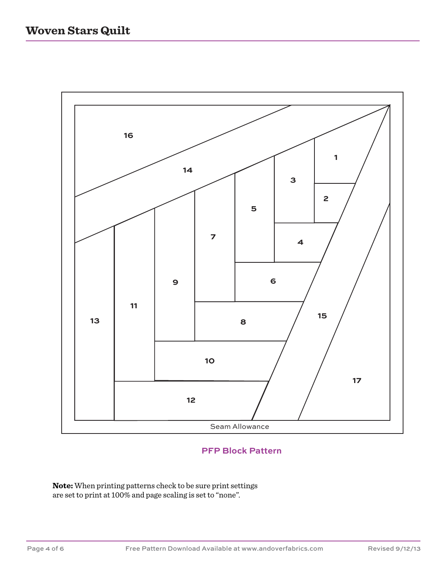

## **PFP Block Pattern**

**Note:** When printing patterns check to be sure print settings are set to print at 100% and page scaling is set to "none".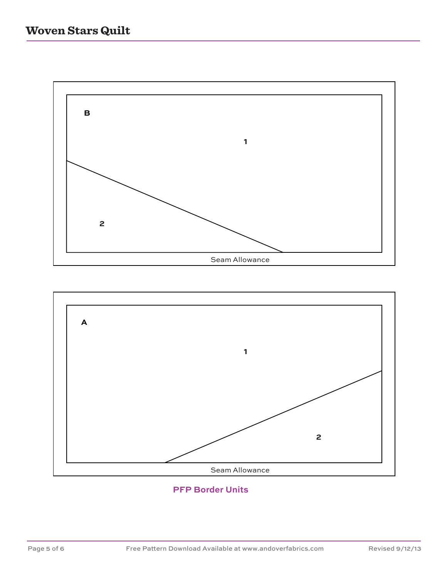



#### **PFP Border Units**